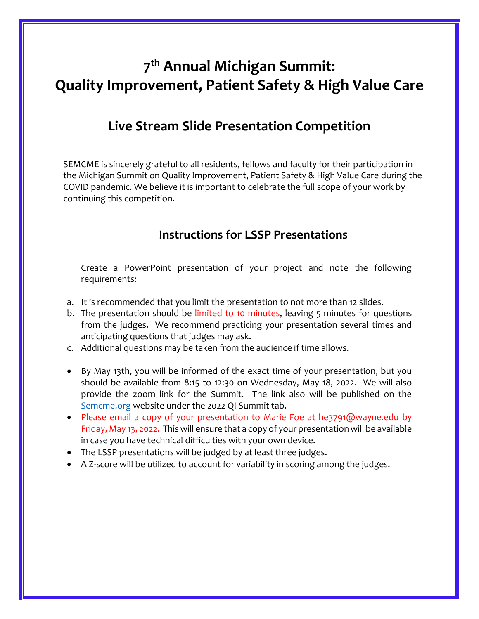## **7 th Annual Michigan Summit: Quality Improvement, Patient Safety & High Value Care**

## **Live Stream Slide Presentation Competition**

SEMCME is sincerely grateful to all residents, fellows and faculty for their participation in the Michigan Summit on Quality Improvement, Patient Safety & High Value Care during the COVID pandemic. We believe it is important to celebrate the full scope of your work by continuing this competition.

## **Instructions for LSSP Presentations**

Create a PowerPoint presentation of your project and note the following requirements:

- a. It is recommended that you limit the presentation to not more than 12 slides.
- b. The presentation should be limited to 10 minutes, leaving 5 minutes for questions from the judges. We recommend practicing your presentation several times and anticipating questions that judges may ask.
- c. Additional questions may be taken from the audience if time allows.
- By May 13th, you will be informed of the exact time of your presentation, but you should be available from 8:15 to 12:30 on Wednesday, May 18, 2022. We will also provide the zoom link for the Summit. The link also will be published on the [Semcme.org](file:///C:/Users/njuzych/Desktop/work%20projects/QI%20Summit/2021%20QI%20Summit/Presenters/LSSP/Semcme.org) website under the 2022 QI Summit tab.
- Please email a copy of your presentation to Marie Foe at he3791@wayne.edu by Friday, May 13, 2022. This will ensure that a copy of your presentation will be available in case you have technical difficulties with your own device.
- The LSSP presentations will be judged by at least three judges.
- A Z-score will be utilized to account for variability in scoring among the judges.